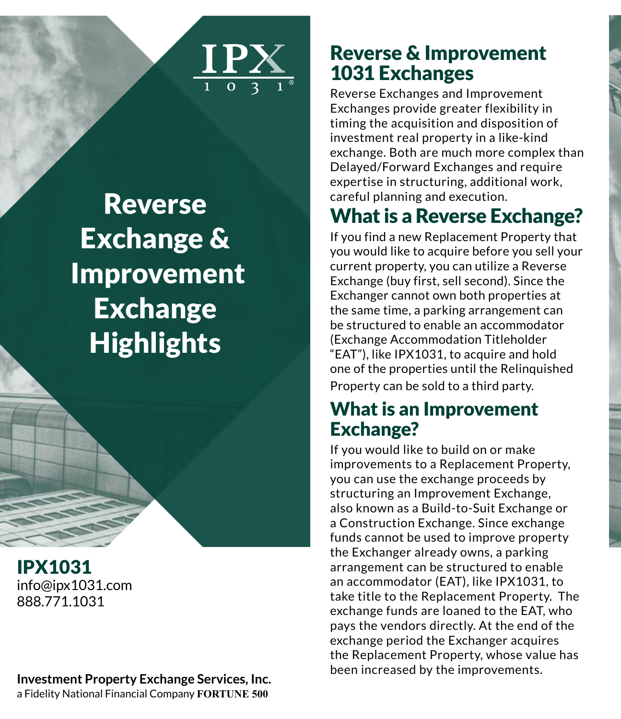

# **Reverse** Exchange & Improvement Exchange **Highlights**

IPX1031 info@ipx1031.com 888.771.1031

**Investment Property Exchange Services, Inc.** a Fidelity National Financial Company **FORTUNE 500**

### Reverse & Improvement 1031 Exchanges

Reverse Exchanges and Improvement Exchanges provide greater flexibility in timing the acquisition and disposition of investment real property in a like-kind exchange. Both are much more complex than Delayed/Forward Exchanges and require expertise in structuring, additional work, careful planning and execution.

# What is a Reverse Exchange?

If you find a new Replacement Property that you would like to acquire before you sell your current property, you can utilize a Reverse Exchange (buy first, sell second). Since the Exchanger cannot own both properties at the same time, a parking arrangement can be structured to enable an accommodator (Exchange Accommodation Titleholder "EAT"), like IPX1031, to acquire and hold one of the properties until the Relinquished Property can be sold to a third party.

### What is an Improvement Exchange?

If you would like to build on or make improvements to a Replacement Property, you can use the exchange proceeds by structuring an Improvement Exchange, also known as a Build-to-Suit Exchange or a Construction Exchange. Since exchange funds cannot be used to improve property the Exchanger already owns, a parking arrangement can be structured to enable an accommodator (EAT), like IPX1031, to take title to the Replacement Property. The exchange funds are loaned to the EAT, who pays the vendors directly. At the end of the exchange period the Exchanger acquires the Replacement Property, whose value has been increased by the improvements.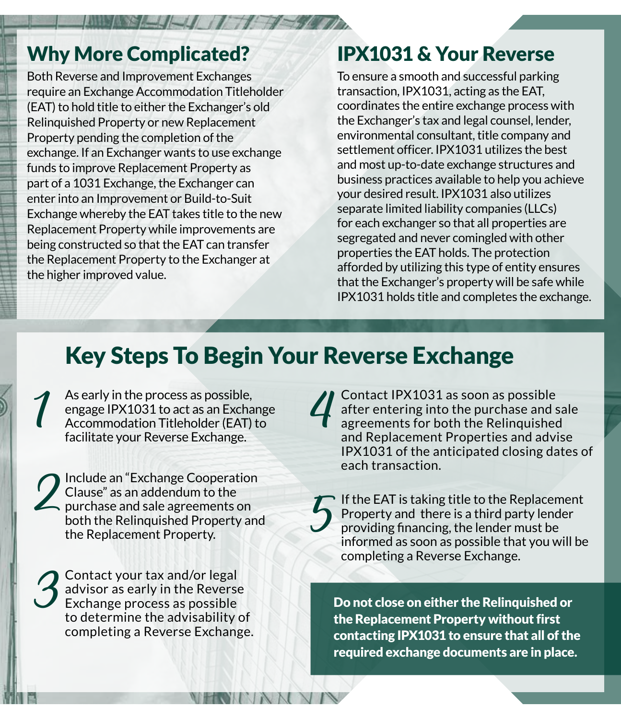## Why More Complicated?

Both Reverse and Improvement Exchanges require an Exchange Accommodation Titleholder (EAT) to hold title to either the Exchanger's old Relinquished Property or new Replacement Property pending the completion of the exchange. If an Exchanger wants to use exchange funds to improve Replacement Property as part of a 1031 Exchange, the Exchanger can enter into an Improvement or Build-to-Suit Exchange whereby the EAT takes title to the new Replacement Property while improvements are being constructed so that the EAT can transfer the Replacement Property to the Exchanger at the higher improved value.

## IPX1031 & Your Reverse

To ensure a smooth and successful parking transaction, IPX1031, acting as the EAT, coordinates the entire exchange process with the Exchanger's tax and legal counsel, lender, environmental consultant, title company and settlement officer. IPX1031 utilizes the best and most up-to-date exchange structures and business practices available to help you achieve your desired result. IPX1031 also utilizes separate limited liability companies (LLCs) for each exchanger so that all properties are segregated and never comingled with other properties the EAT holds. The protection afforded by utilizing this type of entity ensures that the Exchanger's property will be safe while IPX1031 holds title and completes the exchange.

# Key Steps To Begin Your Reverse Exchange

4 As early in the process as possible,<br>engage IPX1031 to act as an Excha<br>Accommodation Titleholder (EAT)<br>facilitate your Reverse Exchange. engage IPX1031 to act as an Exchange Accommodation Titleholder (EAT) to facilitate your Reverse Exchange.

Include an "Exchange Cooperation Clause" as an addendum to the purchase and sale agreements on both the Relinquished Property and the Replacement Property.

3 Contact your tax and/or legal<br>advisor as early in the Reverse<br>to determine the advisability of advisor as early in the Reverse Exchange process as possible completing a Reverse Exchange. 4 Contact IPX1031 as soon as possible<br>after entering into the purchase and s<br>agreements for both the Relinquishee<br>and Replacement Properties and adv after entering into the purchase and sale agreements for both the Relinquished and Replacement Properties and advise IPX1031 of the anticipated closing dates of each transaction.

5 If the EAT is taking title to the Replacement<br>Property and there is a third party lender<br>providing financing, the lender must be<br>informed as soon as possible that you will be Property and there is a third party lender providing financing, the lender must be informed as soon as possible that you will be completing a Reverse Exchange.

Do not close on either the Relinquished or the Replacement Property without first contacting IPX1031 to ensure that all of the required exchange documents are in place.